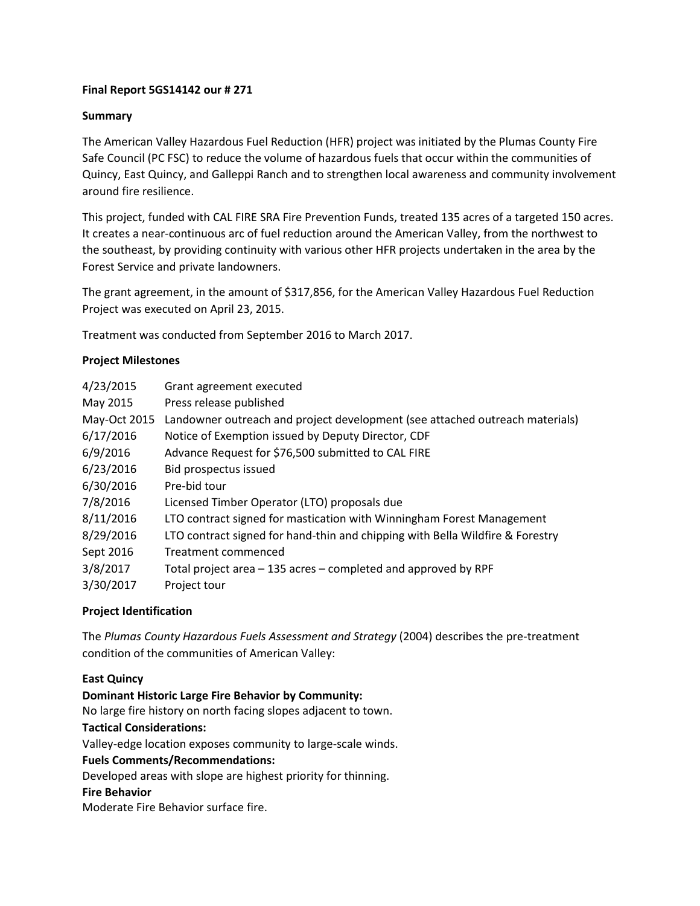## **Final Report 5GS14142 our # 271**

## **Summary**

The American Valley Hazardous Fuel Reduction (HFR) project was initiated by the Plumas County Fire Safe Council (PC FSC) to reduce the volume of hazardous fuels that occur within the communities of Quincy, East Quincy, and Galleppi Ranch and to strengthen local awareness and community involvement around fire resilience.

This project, funded with CAL FIRE SRA Fire Prevention Funds, treated 135 acres of a targeted 150 acres. It creates a near-continuous arc of fuel reduction around the American Valley, from the northwest to the southeast, by providing continuity with various other HFR projects undertaken in the area by the Forest Service and private landowners.

The grant agreement, in the amount of \$317,856, for the American Valley Hazardous Fuel Reduction Project was executed on April 23, 2015.

Treatment was conducted from September 2016 to March 2017.

### **Project Milestones**

| 4/23/2015    | Grant agreement executed                                                      |  |  |  |
|--------------|-------------------------------------------------------------------------------|--|--|--|
| May 2015     | Press release published                                                       |  |  |  |
| May-Oct 2015 | Landowner outreach and project development (see attached outreach materials)  |  |  |  |
| 6/17/2016    | Notice of Exemption issued by Deputy Director, CDF                            |  |  |  |
| 6/9/2016     | Advance Request for \$76,500 submitted to CAL FIRE                            |  |  |  |
| 6/23/2016    | Bid prospectus issued                                                         |  |  |  |
| 6/30/2016    | Pre-bid tour                                                                  |  |  |  |
| 7/8/2016     | Licensed Timber Operator (LTO) proposals due                                  |  |  |  |
| 8/11/2016    | LTO contract signed for mastication with Winningham Forest Management         |  |  |  |
| 8/29/2016    | LTO contract signed for hand-thin and chipping with Bella Wildfire & Forestry |  |  |  |
| Sept 2016    | Treatment commenced                                                           |  |  |  |
| 3/8/2017     | Total project area - 135 acres - completed and approved by RPF                |  |  |  |
| 3/30/2017    | Project tour                                                                  |  |  |  |

### **Project Identification**

The *Plumas County Hazardous Fuels Assessment and Strategy* (2004) describes the pre-treatment condition of the communities of American Valley:

### **East Quincy**

**Dominant Historic Large Fire Behavior by Community:**

No large fire history on north facing slopes adjacent to town.

### **Tactical Considerations:**

Valley-edge location exposes community to large-scale winds.

### **Fuels Comments/Recommendations:**

Developed areas with slope are highest priority for thinning.

### **Fire Behavior**

Moderate Fire Behavior surface fire.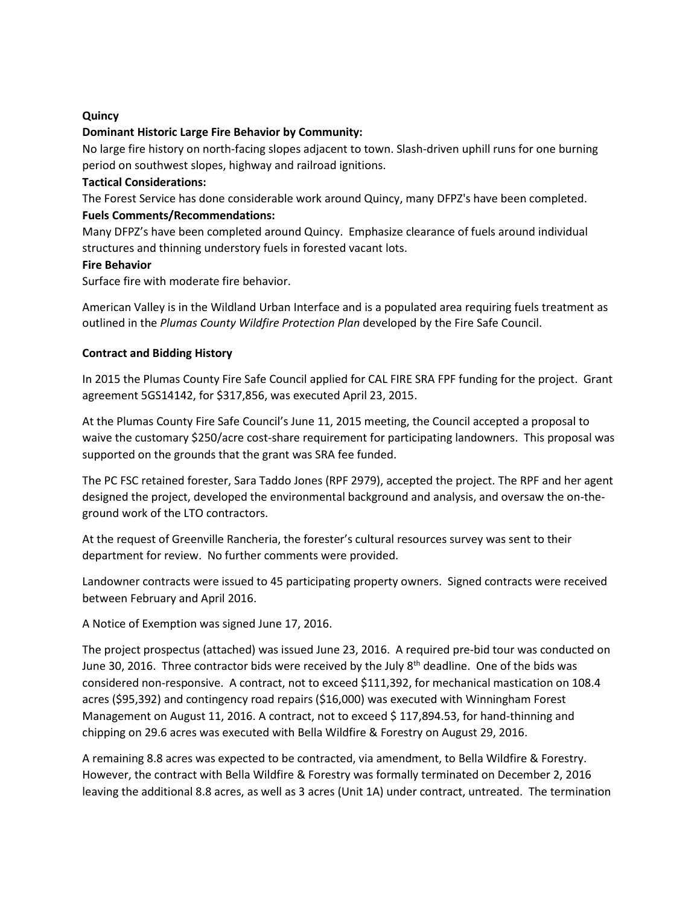## **Quincy**

## **Dominant Historic Large Fire Behavior by Community:**

No large fire history on north-facing slopes adjacent to town. Slash-driven uphill runs for one burning period on southwest slopes, highway and railroad ignitions.

## **Tactical Considerations:**

The Forest Service has done considerable work around Quincy, many DFPZ's have been completed.

## **Fuels Comments/Recommendations:**

Many DFPZ's have been completed around Quincy. Emphasize clearance of fuels around individual structures and thinning understory fuels in forested vacant lots.

### **Fire Behavior**

Surface fire with moderate fire behavior.

American Valley is in the Wildland Urban Interface and is a populated area requiring fuels treatment as outlined in the *Plumas County Wildfire Protection Plan* developed by the Fire Safe Council.

## **Contract and Bidding History**

In 2015 the Plumas County Fire Safe Council applied for CAL FIRE SRA FPF funding for the project. Grant agreement 5GS14142, for \$317,856, was executed April 23, 2015.

At the Plumas County Fire Safe Council's June 11, 2015 meeting, the Council accepted a proposal to waive the customary \$250/acre cost-share requirement for participating landowners. This proposal was supported on the grounds that the grant was SRA fee funded.

The PC FSC retained forester, Sara Taddo Jones (RPF 2979), accepted the project. The RPF and her agent designed the project, developed the environmental background and analysis, and oversaw the on-theground work of the LTO contractors.

At the request of Greenville Rancheria, the forester's cultural resources survey was sent to their department for review. No further comments were provided.

Landowner contracts were issued to 45 participating property owners. Signed contracts were received between February and April 2016.

A Notice of Exemption was signed June 17, 2016.

The project prospectus (attached) was issued June 23, 2016. A required pre-bid tour was conducted on June 30, 2016. Three contractor bids were received by the July 8<sup>th</sup> deadline. One of the bids was considered non-responsive. A contract, not to exceed \$111,392, for mechanical mastication on 108.4 acres (\$95,392) and contingency road repairs (\$16,000) was executed with Winningham Forest Management on August 11, 2016. A contract, not to exceed \$117,894.53, for hand-thinning and chipping on 29.6 acres was executed with Bella Wildfire & Forestry on August 29, 2016.

A remaining 8.8 acres was expected to be contracted, via amendment, to Bella Wildfire & Forestry. However, the contract with Bella Wildfire & Forestry was formally terminated on December 2, 2016 leaving the additional 8.8 acres, as well as 3 acres (Unit 1A) under contract, untreated. The termination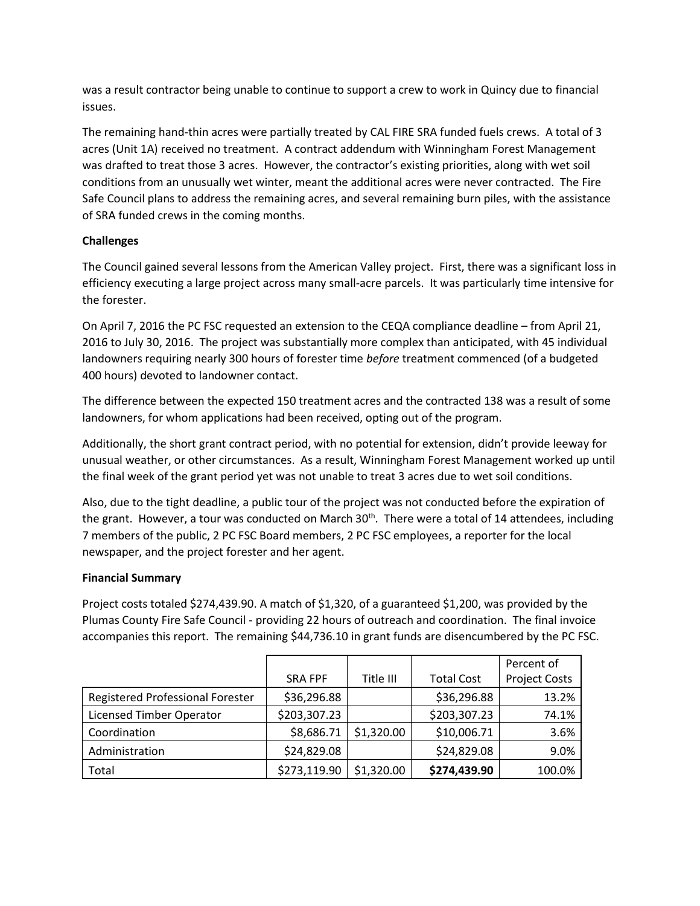was a result contractor being unable to continue to support a crew to work in Quincy due to financial issues.

The remaining hand-thin acres were partially treated by CAL FIRE SRA funded fuels crews. A total of 3 acres (Unit 1A) received no treatment. A contract addendum with Winningham Forest Management was drafted to treat those 3 acres. However, the contractor's existing priorities, along with wet soil conditions from an unusually wet winter, meant the additional acres were never contracted. The Fire Safe Council plans to address the remaining acres, and several remaining burn piles, with the assistance of SRA funded crews in the coming months.

# **Challenges**

The Council gained several lessons from the American Valley project. First, there was a significant loss in efficiency executing a large project across many small-acre parcels. It was particularly time intensive for the forester.

On April 7, 2016 the PC FSC requested an extension to the CEQA compliance deadline – from April 21, 2016 to July 30, 2016. The project was substantially more complex than anticipated, with 45 individual landowners requiring nearly 300 hours of forester time *before* treatment commenced (of a budgeted 400 hours) devoted to landowner contact.

The difference between the expected 150 treatment acres and the contracted 138 was a result of some landowners, for whom applications had been received, opting out of the program.

Additionally, the short grant contract period, with no potential for extension, didn't provide leeway for unusual weather, or other circumstances. As a result, Winningham Forest Management worked up until the final week of the grant period yet was not unable to treat 3 acres due to wet soil conditions.

Also, due to the tight deadline, a public tour of the project was not conducted before the expiration of the grant. However, a tour was conducted on March 30<sup>th</sup>. There were a total of 14 attendees, including 7 members of the public, 2 PC FSC Board members, 2 PC FSC employees, a reporter for the local newspaper, and the project forester and her agent.

# **Financial Summary**

Project costs totaled \$274,439.90. A match of \$1,320, of a guaranteed \$1,200, was provided by the Plumas County Fire Safe Council - providing 22 hours of outreach and coordination. The final invoice accompanies this report. The remaining \$44,736.10 in grant funds are disencumbered by the PC FSC.

|                                  |                |            |                   | Percent of           |
|----------------------------------|----------------|------------|-------------------|----------------------|
|                                  | <b>SRA FPF</b> | Title III  | <b>Total Cost</b> | <b>Project Costs</b> |
| Registered Professional Forester | \$36,296.88    |            | \$36,296.88       | 13.2%                |
| <b>Licensed Timber Operator</b>  | \$203,307.23   |            | \$203,307.23      | 74.1%                |
| Coordination                     | \$8,686.71     | \$1,320.00 | \$10,006.71       | 3.6%                 |
| Administration                   | \$24,829.08    |            | \$24,829.08       | 9.0%                 |
| Total                            | \$273,119.90   | \$1,320.00 | \$274,439.90      | 100.0%               |